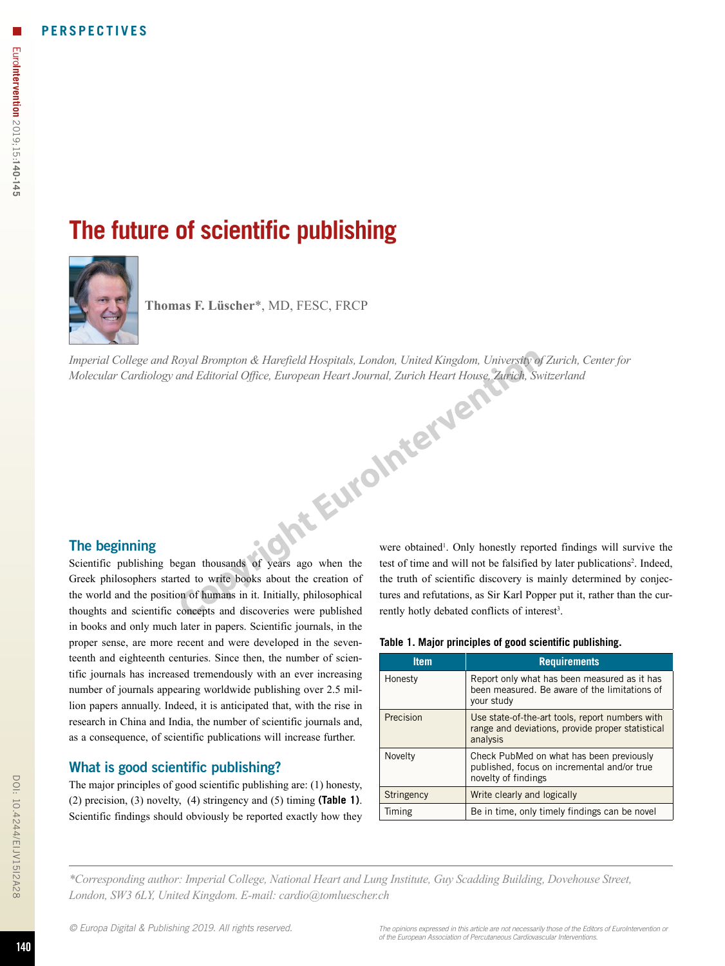# **The future of scientific publishing**



**Thomas F. Lüscher**\*, MD, FESC, FRCP

*Imperial College and Royal Brompton & Harefield Hospitals, London, United Kingdom, University of Zurich, Center for Molecular Cardiology and Editorial Office, European Heart Journal, Zurich Heart House, Zurich, Switzerland*

## The beginning

Scientific publishing began thousands of years ago when the Greek philosophers started to write books about the creation of the world and the position of humans in it. Initially, philosophical thoughts and scientific concepts and discoveries were published in books and only much later in papers. Scientific journals, in the proper sense, are more recent and were developed in the seventeenth and eighteenth centuries. Since then, the number of scientific journals has increased tremendously with an ever increasing number of journals appearing worldwide publishing over 2.5 million papers annually. Indeed, it is anticipated that, with the rise in research in China and India, the number of scientific journals and, as a consequence, of scientific publications will increase further.

### What is good scientific publishing?

The major principles of good scientific publishing are: (1) honesty, (2) precision, (3) novelty, (4) stringency and (5) timing **(Table 1)**. Scientific findings should obviously be reported exactly how they

were obtained<sup>1</sup>. Only honestly reported findings will survive the test of time and will not be falsified by later publications<sup>2</sup>. Indeed, the truth of scientific discovery is mainly determined by conjectures and refutations, as Sir Karl Popper put it, rather than the currently hotly debated conflicts of interest<sup>3</sup>.

|  |  |  | Table 1. Major principles of good scientific publishing. |
|--|--|--|----------------------------------------------------------|
|  |  |  |                                                          |

| <b>Item</b> | <b>Requirements</b>                                                                                             |
|-------------|-----------------------------------------------------------------------------------------------------------------|
| Honesty     | Report only what has been measured as it has<br>been measured. Be aware of the limitations of<br>your study     |
| Precision   | Use state-of-the-art tools, report numbers with<br>range and deviations, provide proper statistical<br>analysis |
| Novelty     | Check PubMed on what has been previously<br>published, focus on incremental and/or true<br>novelty of findings  |
| Stringency  | Write clearly and logically                                                                                     |
| Timing      | Be in time, only timely findings can be novel                                                                   |

*\*Corresponding author: Imperial College, National Heart and Lung Institute, Guy Scadding Building, Dovehouse Street, London, SW3 6LY, United Kingdom. E-mail: cardio@tomluescher.ch*

*© Europa Digital & Publishing 2019. All rights reserved.*

DOI: 10.4244/EIJV15I2A28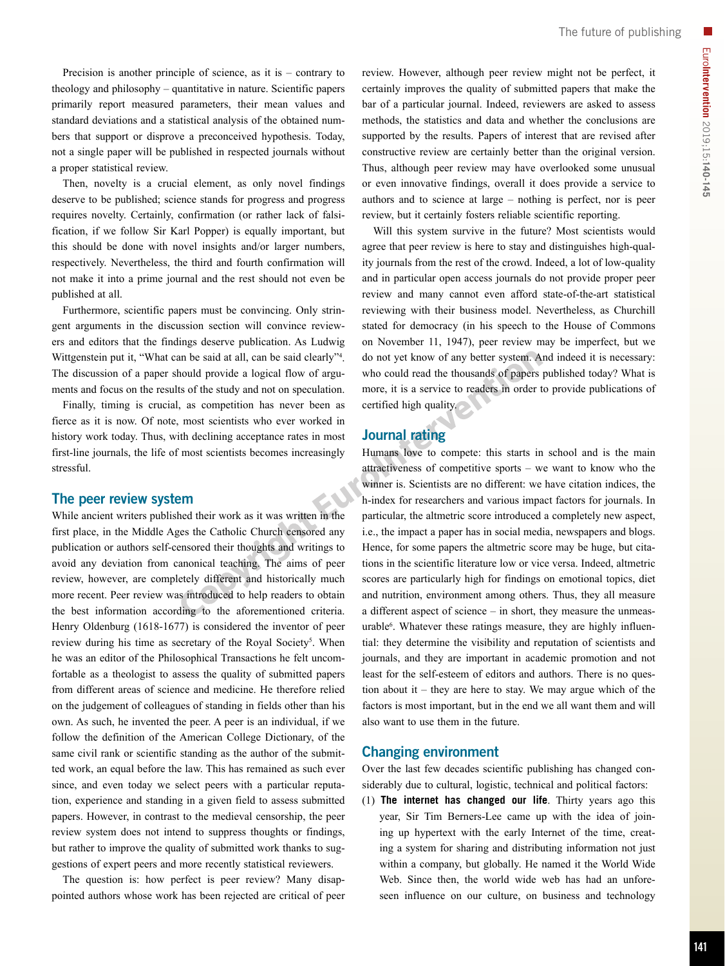Precision is another principle of science, as it is – contrary to theology and philosophy – quantitative in nature. Scientific papers primarily report measured parameters, their mean values and standard deviations and a statistical analysis of the obtained numbers that support or disprove a preconceived hypothesis. Today, not a single paper will be published in respected journals without a proper statistical review.

Then, novelty is a crucial element, as only novel findings deserve to be published; science stands for progress and progress requires novelty. Certainly, confirmation (or rather lack of falsification, if we follow Sir Karl Popper) is equally important, but this should be done with novel insights and/or larger numbers, respectively. Nevertheless, the third and fourth confirmation will not make it into a prime journal and the rest should not even be published at all.

Furthermore, scientific papers must be convincing. Only stringent arguments in the discussion section will convince reviewers and editors that the findings deserve publication. As Ludwig Wittgenstein put it, "What can be said at all, can be said clearly"4 . The discussion of a paper should provide a logical flow of arguments and focus on the results of the study and not on speculation.

Finally, timing is crucial, as competition has never been as fierce as it is now. Of note, most scientists who ever worked in history work today. Thus, with declining acceptance rates in most first-line journals, the life of most scientists becomes increasingly stressful.

#### The peer review system

While ancient writers published their work as it was written in the first place, in the Middle Ages the Catholic Church censored any publication or authors self-censored their thoughts and writings to avoid any deviation from canonical teaching. The aims of peer review, however, are completely different and historically much more recent. Peer review was introduced to help readers to obtain the best information according to the aforementioned criteria. Henry Oldenburg (1618-1677) is considered the inventor of peer review during his time as secretary of the Royal Society<sup>5</sup>. When he was an editor of the Philosophical Transactions he felt uncomfortable as a theologist to assess the quality of submitted papers from different areas of science and medicine. He therefore relied on the judgement of colleagues of standing in fields other than his own. As such, he invented the peer. A peer is an individual, if we follow the definition of the American College Dictionary, of the same civil rank or scientific standing as the author of the submitted work, an equal before the law. This has remained as such ever since, and even today we select peers with a particular reputation, experience and standing in a given field to assess submitted papers. However, in contrast to the medieval censorship, the peer review system does not intend to suppress thoughts or findings, but rather to improve the quality of submitted work thanks to suggestions of expert peers and more recently statistical reviewers.

The question is: how perfect is peer review? Many disappointed authors whose work has been rejected are critical of peer

review. However, although peer review might not be perfect, it certainly improves the quality of submitted papers that make the bar of a particular journal. Indeed, reviewers are asked to assess methods, the statistics and data and whether the conclusions are supported by the results. Papers of interest that are revised after constructive review are certainly better than the original version. Thus, although peer review may have overlooked some unusual or even innovative findings, overall it does provide a service to authors and to science at large – nothing is perfect, nor is peer review, but it certainly fosters reliable scientific reporting.

Will this system survive in the future? Most scientists would agree that peer review is here to stay and distinguishes high-quality journals from the rest of the crowd. Indeed, a lot of low-quality and in particular open access journals do not provide proper peer review and many cannot even afford state-of-the-art statistical reviewing with their business model. Nevertheless, as Churchill stated for democracy (in his speech to the House of Commons on November 11, 1947), peer review may be imperfect, but we do not yet know of any better system. And indeed it is necessary: who could read the thousands of papers published today? What is more, it is a service to readers in order to provide publications of certified high quality.

#### Journal rating

Humans love to compete: this starts in school and is the main attractiveness of competitive sports – we want to know who the winner is. Scientists are no different: we have citation indices, the h-index for researchers and various impact factors for journals. In particular, the altmetric score introduced a completely new aspect, i.e., the impact a paper has in social media, newspapers and blogs. Hence, for some papers the altmetric score may be huge, but citations in the scientific literature low or vice versa. Indeed, altmetric scores are particularly high for findings on emotional topics, diet and nutrition, environment among others. Thus, they all measure a different aspect of science – in short, they measure the unmeasurable<sup>6</sup>. Whatever these ratings measure, they are highly influential: they determine the visibility and reputation of scientists and journals, and they are important in academic promotion and not least for the self-esteem of editors and authors. There is no question about it – they are here to stay. We may argue which of the factors is most important, but in the end we all want them and will also want to use them in the future.

#### Changing environment

Over the last few decades scientific publishing has changed considerably due to cultural, logistic, technical and political factors:

(1) **The internet has changed our life**. Thirty years ago this year, Sir Tim Berners-Lee came up with the idea of joining up hypertext with the early Internet of the time, creating a system for sharing and distributing information not just within a company, but globally. He named it the World Wide Web. Since then, the world wide web has had an unforeseen influence on our culture, on business and technology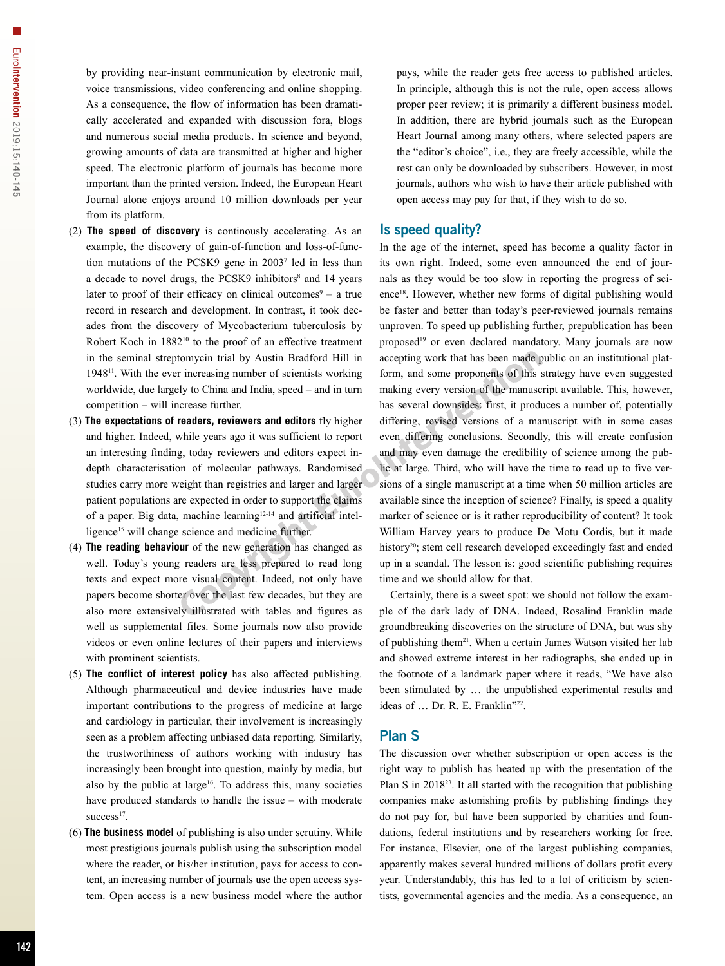by providing near-instant communication by electronic mail, voice transmissions, video conferencing and online shopping. As a consequence, the flow of information has been dramatically accelerated and expanded with discussion fora, blogs and numerous social media products. In science and beyond, growing amounts of data are transmitted at higher and higher speed. The electronic platform of journals has become more important than the printed version. Indeed, the European Heart Journal alone enjoys around 10 million downloads per year from its platform.

- (2) **The speed of discovery** is continously accelerating. As an example, the discovery of gain-of-function and loss-of-function mutations of the PCSK9 gene in 20037 led in less than a decade to novel drugs, the PCSK9 inhibitors<sup>8</sup> and 14 years later to proof of their efficacy on clinical outcomes $9 - a$  true record in research and development. In contrast, it took decades from the discovery of Mycobacterium tuberculosis by Robert Koch in 1882<sup>10</sup> to the proof of an effective treatment in the seminal streptomycin trial by Austin Bradford Hill in 194811. With the ever increasing number of scientists working worldwide, due largely to China and India, speed – and in turn competition – will increase further.
- (3) **The expectations of readers, reviewers and editors** fly higher and higher. Indeed, while years ago it was sufficient to report an interesting finding, today reviewers and editors expect indepth characterisation of molecular pathways. Randomised studies carry more weight than registries and larger and larger patient populations are expected in order to support the claims of a paper. Big data, machine learning12-14 and artificial intelligence<sup>15</sup> will change science and medicine further.
- (4) **The reading behaviour** of the new generation has changed as well. Today's young readers are less prepared to read long texts and expect more visual content. Indeed, not only have papers become shorter over the last few decades, but they are also more extensively illustrated with tables and figures as well as supplemental files. Some journals now also provide videos or even online lectures of their papers and interviews with prominent scientists.
- (5) **The conflict of interest policy** has also affected publishing. Although pharmaceutical and device industries have made important contributions to the progress of medicine at large and cardiology in particular, their involvement is increasingly seen as a problem affecting unbiased data reporting. Similarly, the trustworthiness of authors working with industry has increasingly been brought into question, mainly by media, but also by the public at large<sup>16</sup>. To address this, many societies have produced standards to handle the issue – with moderate success<sup>17</sup>.
- (6) **The business model** of publishing is also under scrutiny. While most prestigious journals publish using the subscription model where the reader, or his/her institution, pays for access to content, an increasing number of journals use the open access system. Open access is a new business model where the author

pays, while the reader gets free access to published articles. In principle, although this is not the rule, open access allows proper peer review; it is primarily a different business model. In addition, there are hybrid journals such as the European Heart Journal among many others, where selected papers are the "editor's choice", i.e., they are freely accessible, while the rest can only be downloaded by subscribers. However, in most journals, authors who wish to have their article published with open access may pay for that, if they wish to do so.

#### Is speed quality?

In the age of the internet, speed has become a quality factor in its own right. Indeed, some even announced the end of journals as they would be too slow in reporting the progress of science<sup>18</sup>. However, whether new forms of digital publishing would be faster and better than today's peer-reviewed journals remains unproven. To speed up publishing further, prepublication has been proposed<sup>19</sup> or even declared mandatory. Many journals are now accepting work that has been made public on an institutional platform, and some proponents of this strategy have even suggested making every version of the manuscript available. This, however, has several downsides: first, it produces a number of, potentially differing, revised versions of a manuscript with in some cases even differing conclusions. Secondly, this will create confusion and may even damage the credibility of science among the public at large. Third, who will have the time to read up to five versions of a single manuscript at a time when 50 million articles are available since the inception of science? Finally, is speed a quality marker of science or is it rather reproducibility of content? It took William Harvey years to produce De Motu Cordis, but it made history<sup>20</sup>; stem cell research developed exceedingly fast and ended up in a scandal. The lesson is: good scientific publishing requires time and we should allow for that.

Certainly, there is a sweet spot: we should not follow the example of the dark lady of DNA. Indeed, Rosalind Franklin made groundbreaking discoveries on the structure of DNA, but was shy of publishing them21. When a certain James Watson visited her lab and showed extreme interest in her radiographs, she ended up in the footnote of a landmark paper where it reads, "We have also been stimulated by … the unpublished experimental results and ideas of ... Dr. R. E. Franklin"<sup>22</sup>.

#### Plan S

The discussion over whether subscription or open access is the right way to publish has heated up with the presentation of the Plan S in 201823. It all started with the recognition that publishing companies make astonishing profits by publishing findings they do not pay for, but have been supported by charities and foundations, federal institutions and by researchers working for free. For instance, Elsevier, one of the largest publishing companies, apparently makes several hundred millions of dollars profit every year. Understandably, this has led to a lot of criticism by scientists, governmental agencies and the media. As a consequence, an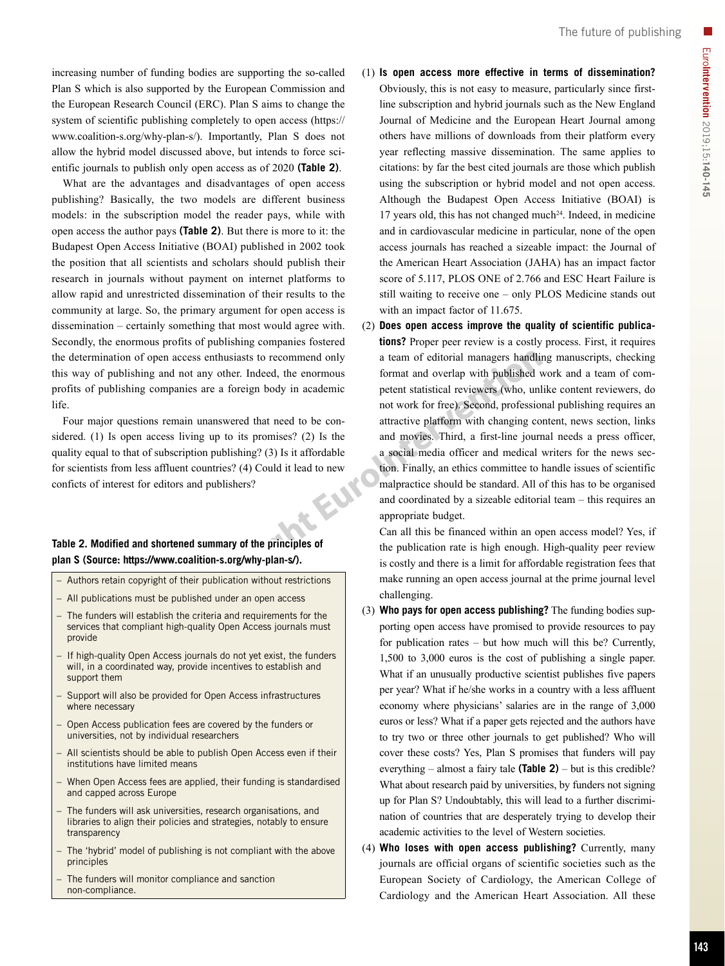Eurolntervention 2019;15:140-145

increasing number of funding bodies are supporting the so-called Plan S which is also supported by the European Commission and the European Research Council (ERC). Plan S aims to change the system of scientific publishing completely to open access (https:// www.coalition-s.org/why-plan-s/). Importantly, Plan S does not allow the hybrid model discussed above, but intends to force scientific journals to publish only open access as of 2020 **(Table 2)**.

What are the advantages and disadvantages of open access publishing? Basically, the two models are different business models: in the subscription model the reader pays, while with open access the author pays **(Table 2)**. But there is more to it: the Budapest Open Access Initiative (BOAI) published in 2002 took the position that all scientists and scholars should publish their research in journals without payment on internet platforms to allow rapid and unrestricted dissemination of their results to the community at large. So, the primary argument for open access is dissemination – certainly something that most would agree with. Secondly, the enormous profits of publishing companies fostered the determination of open access enthusiasts to recommend only this way of publishing and not any other. Indeed, the enormous profits of publishing companies are a foreign body in academic life.

Four major questions remain unanswered that need to be considered. (1) Is open access living up to its promises? (2) Is the quality equal to that of subscription publishing? (3) Is it affordable for scientists from less affluent countries? (4) Could it lead to new conficts of interest for editors and publishers?

#### **Table 2. Modified and shortened summary of the principles of plan S (Source: https://www.coalition-s.org/why-plan-s/).**

- Authors retain copyright of their publication without restrictions
- All publications must be published under an open access
- The funders will establish the criteria and requirements for the services that compliant high-quality Open Access journals must provide
- If high-quality Open Access journals do not yet exist, the funders will, in a coordinated way, provide incentives to establish and support them
- Support will also be provided for Open Access infrastructures where necessary
- Open Access publication fees are covered by the funders or universities, not by individual researchers
- All scientists should be able to publish Open Access even if their institutions have limited means
- When Open Access fees are applied, their funding is standardised and capped across Europe
- The funders will ask universities, research organisations, and libraries to align their policies and strategies, notably to ensure transparency
- The 'hybrid' model of publishing is not compliant with the above principles
- The funders will monitor compliance and sanction non-compliance.

# (1) **Is open access more effective in terms of dissemination?**

Obviously, this is not easy to measure, particularly since firstline subscription and hybrid journals such as the New England Journal of Medicine and the European Heart Journal among others have millions of downloads from their platform every year reflecting massive dissemination. The same applies to citations: by far the best cited journals are those which publish using the subscription or hybrid model and not open access. Although the Budapest Open Access Initiative (BOAI) is  $17$  years old, this has not changed much<sup>24</sup>. Indeed, in medicine and in cardiovascular medicine in particular, none of the open access journals has reached a sizeable impact: the Journal of the American Heart Association (JAHA) has an impact factor score of 5.117, PLOS ONE of 2.766 and ESC Heart Failure is still waiting to receive one – only PLOS Medicine stands out with an impact factor of 11.675.

(2) **Does open access improve the quality of scientific publications?** Proper peer review is a costly process. First, it requires a team of editorial managers handling manuscripts, checking format and overlap with published work and a team of competent statistical reviewers (who, unlike content reviewers, do not work for free). Second, professional publishing requires an attractive platform with changing content, news section, links and movies. Third, a first-line journal needs a press officer, a social media officer and medical writers for the news section. Finally, an ethics committee to handle issues of scientific malpractice should be standard. All of this has to be organised and coordinated by a sizeable editorial team – this requires an appropriate budget.

Can all this be financed within an open access model? Yes, if the publication rate is high enough. High-quality peer review is costly and there is a limit for affordable registration fees that make running an open access journal at the prime journal level challenging.

- (3) **Who pays for open access publishing?** The funding bodies supporting open access have promised to provide resources to pay for publication rates – but how much will this be? Currently, 1,500 to 3,000 euros is the cost of publishing a single paper. What if an unusually productive scientist publishes five papers per year? What if he/she works in a country with a less affluent economy where physicians' salaries are in the range of 3,000 euros or less? What if a paper gets rejected and the authors have to try two or three other journals to get published? Who will cover these costs? Yes, Plan S promises that funders will pay everything – almost a fairy tale **(Table 2)** – but is this credible? What about research paid by universities, by funders not signing up for Plan S? Undoubtably, this will lead to a further discrimination of countries that are desperately trying to develop their academic activities to the level of Western societies.
- (4) **Who loses with open access publishing?** Currently, many journals are official organs of scientific societies such as the European Society of Cardiology, the American College of Cardiology and the American Heart Association. All these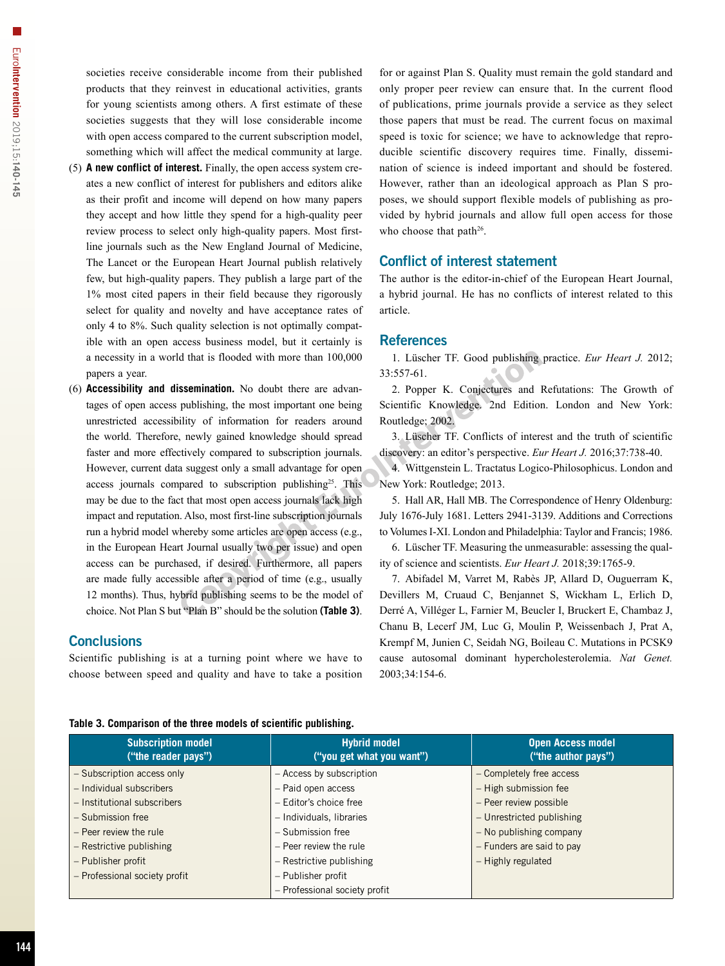societies receive considerable income from their published products that they reinvest in educational activities, grants for young scientists among others. A first estimate of these societies suggests that they will lose considerable income with open access compared to the current subscription model, something which will affect the medical community at large.

- (5) **A new conflict of interest.** Finally, the open access system creates a new conflict of interest for publishers and editors alike as their profit and income will depend on how many papers they accept and how little they spend for a high-quality peer review process to select only high-quality papers. Most firstline journals such as the New England Journal of Medicine, The Lancet or the European Heart Journal publish relatively few, but high-quality papers. They publish a large part of the 1% most cited papers in their field because they rigorously select for quality and novelty and have acceptance rates of only 4 to 8%. Such quality selection is not optimally compatible with an open access business model, but it certainly is a necessity in a world that is flooded with more than 100,000 papers a year.
- (6) **Accessibility and dissemination.** No doubt there are advantages of open access publishing, the most important one being unrestricted accessibility of information for readers around the world. Therefore, newly gained knowledge should spread faster and more effectively compared to subscription journals. However, current data suggest only a small advantage for open access journals compared to subscription publishing<sup>25</sup>. This may be due to the fact that most open access journals lack high impact and reputation. Also, most first-line subscription journals run a hybrid model whereby some articles are open access (e.g., in the European Heart Journal usually two per issue) and open access can be purchased, if desired. Furthermore, all papers are made fully accessible after a period of time (e.g., usually 12 months). Thus, hybrid publishing seems to be the model of choice. Not Plan S but "Plan B" should be the solution **(Table 3)**.

#### **Conclusions**

Scientific publishing is at a turning point where we have to choose between speed and quality and have to take a position for or against Plan S. Quality must remain the gold standard and only proper peer review can ensure that. In the current flood of publications, prime journals provide a service as they select those papers that must be read. The current focus on maximal speed is toxic for science; we have to acknowledge that reproducible scientific discovery requires time. Finally, dissemination of science is indeed important and should be fostered. However, rather than an ideological approach as Plan S proposes, we should support flexible models of publishing as provided by hybrid journals and allow full open access for those who choose that path<sup>26</sup>.

#### Conflict of interest statement

The author is the editor-in-chief of the European Heart Journal, a hybrid journal. He has no conflicts of interest related to this article.

#### References

1. Lüscher TF. Good publishing practice. *Eur Heart J.* 2012; 33:557-61.

2. Popper K. Conjectures and Refutations: The Growth of Scientific Knowledge. 2nd Edition. London and New York: Routledge; 2002.

3. Lüscher TF. Conflicts of interest and the truth of scientific discovery: an editor's perspective. *Eur Heart J.* 2016;37:738-40.

4. Wittgenstein L. Tractatus Logico-Philosophicus. London and New York: Routledge; 2013.

5. Hall AR, Hall MB. The Correspondence of Henry Oldenburg: July 1676-July 1681. Letters 2941-3139. Additions and Corrections to Volumes I-XI. London and Philadelphia: Taylor and Francis; 1986.

6. Lüscher TF. Measuring the unmeasurable: assessing the quality of science and scientists. *Eur Heart J.* 2018;39:1765-9.

7. Abifadel M, Varret M, Rabès JP, Allard D, Ouguerram K, Devillers M, Cruaud C, Benjannet S, Wickham L, Erlich D, Derré A, Villéger L, Farnier M, Beucler I, Bruckert E, Chambaz J, Chanu B, Lecerf JM, Luc G, Moulin P, Weissenbach J, Prat A, Krempf M, Junien C, Seidah NG, Boileau C. Mutations in PCSK9 cause autosomal dominant hypercholesterolemia. *Nat Genet.* 2003;34:154-6.

|  |  | Table 3. Comparison of the three models of scientific publishing. |  |
|--|--|-------------------------------------------------------------------|--|
|  |  |                                                                   |  |

| <b>Subscription model</b><br>("the reader pays") | <b>Hybrid model</b><br>("you get what you want") | <b>Open Access model</b><br>("the author pays") |
|--------------------------------------------------|--------------------------------------------------|-------------------------------------------------|
| - Subscription access only                       | - Access by subscription                         | - Completely free access                        |
| - Individual subscribers                         | - Paid open access                               | - High submission fee                           |
| - Institutional subscribers                      | - Editor's choice free                           | - Peer review possible                          |
| $-$ Submission free                              | - Individuals, libraries                         | - Unrestricted publishing                       |
| - Peer review the rule                           | - Submission free                                | - No publishing company                         |
| - Restrictive publishing                         | - Peer review the rule                           | - Funders are said to pay                       |
| - Publisher profit                               | - Restrictive publishing                         | - Highly regulated                              |
| - Professional society profit                    | - Publisher profit                               |                                                 |
|                                                  | - Professional society profit                    |                                                 |